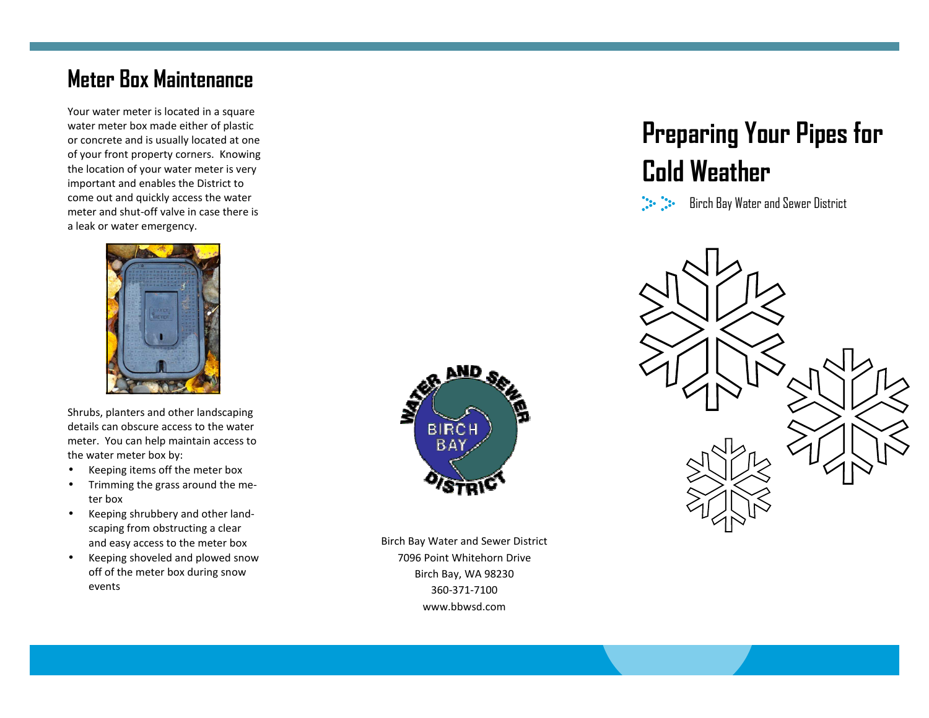#### **Meter Box Maintenance**

Your water meter is located in a square water meter box made either of plastic or concrete and is usually located at one of your front property corners. Knowing the location of your water meter is very important and enables the District to come out and quickly access the water meter and shut-off valve in case there is a leak or water emergency.



Shrubs, planters and other landscaping details can obscure access to the water meter. You can help maintain access to the water meter box by:

- Keeping items off the meter box
- Trimming the grass around the meter box
- Keeping shrubbery and other landscaping from obstructing a clear and easy access to the meter box
- Keeping shoveled and plowed snow off of the meter box during snow events



Birch Bay Water and Sewer District 7096 Point Whitehorn Drive Birch Bay, WA 98230 360-371-7100 www.bbwsd.com

# **Preparing Your Pipes for Cold Weather**

 $\begin{bmatrix} \mathbf{1} & \mathbf{1} & \mathbf{1} & \mathbf{1} & \mathbf{1} & \mathbf{1} & \mathbf{1} & \mathbf{1} & \mathbf{1} & \mathbf{1} & \mathbf{1} & \mathbf{1} & \mathbf{1} & \mathbf{1} & \mathbf{1} & \mathbf{1} & \mathbf{1} & \mathbf{1} & \mathbf{1} & \mathbf{1} & \mathbf{1} & \mathbf{1} & \mathbf{1} & \mathbf{1} & \mathbf{1} & \mathbf{1} & \mathbf{1} & \mathbf{1} & \mathbf{1} & \mathbf{1} & \mathbf{$ Birch Bay Water and Sewer District